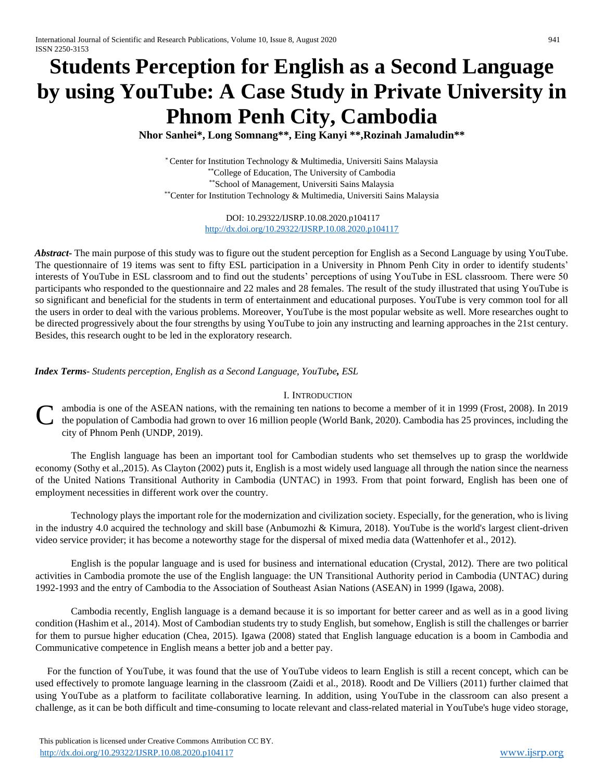# **Students Perception for English as a Second Language by using YouTube: A Case Study in Private University in Phnom Penh City, Cambodia**

**Nhor Sanhei\*, Long Somnang\*\*, Eing Kanyi \*\*,Rozinah Jamaludin\*\***

\* Center for Institution Technology & Multimedia, Universiti Sains Malaysia \*\*College of Education, The University of Cambodia \*\*School of Management, Universiti Sains Malaysia \*\*Center for Institution Technology & Multimedia, Universiti Sains Malaysia

> DOI: 10.29322/IJSRP.10.08.2020.p104117 <http://dx.doi.org/10.29322/IJSRP.10.08.2020.p104117>

*Abstract***-** The main purpose of this study was to figure out the student perception for English as a Second Language by using YouTube. The questionnaire of 19 items was sent to fifty ESL participation in a University in Phnom Penh City in order to identify students' interests of YouTube in ESL classroom and to find out the students' perceptions of using YouTube in ESL classroom. There were 50 participants who responded to the questionnaire and 22 males and 28 females. The result of the study illustrated that using YouTube is so significant and beneficial for the students in term of entertainment and educational purposes. YouTube is very common tool for all the users in order to deal with the various problems. Moreover, YouTube is the most popular website as well. More researches ought to be directed progressively about the four strengths by using YouTube to join any instructing and learning approaches in the 21st century. Besides, this research ought to be led in the exploratory research.

*Index Terms*- *Students perception, English as a Second Language, YouTube, ESL*

## I. INTRODUCTION

ambodia is one of the ASEAN nations, with the remaining ten nations to become a member of it in 1999 (Frost, 2008). In 2019 the population of Cambodia had grown to over 16 million people (World Bank, 2020). Cambodia has 25 provinces, including the city of Phnom Penh (UNDP, 2019). C

The English language has been an important tool for Cambodian students who set themselves up to grasp the worldwide economy (Sothy et al.,2015). As Clayton (2002) puts it, English is a most widely used language all through the nation since the nearness of the United Nations Transitional Authority in Cambodia (UNTAC) in 1993. From that point forward, English has been one of employment necessities in different work over the country.

Technology plays the important role for the modernization and civilization society. Especially, for the generation, who is living in the industry 4.0 acquired the technology and skill base (Anbumozhi & Kimura, 2018). YouTube is the world's largest client-driven video service provider; it has become a noteworthy stage for the dispersal of mixed media data (Wattenhofer et al., 2012).

English is the popular language and is used for business and international education (Crystal, 2012). There are two political activities in Cambodia promote the use of the English language: the UN Transitional Authority period in Cambodia (UNTAC) during 1992-1993 and the entry of Cambodia to the Association of Southeast Asian Nations (ASEAN) in 1999 (Igawa, 2008).

Cambodia recently, English language is a demand because it is so important for better career and as well as in a good living condition (Hashim et al., 2014). Most of Cambodian students try to study English, but somehow, English is still the challenges or barrier for them to pursue higher education (Chea, 2015). Igawa (2008) stated that English language education is a boom in Cambodia and Communicative competence in English means a better job and a better pay.

For the function of YouTube, it was found that the use of YouTube videos to learn English is still a recent concept, which can be used effectively to promote language learning in the classroom (Zaidi et al., 2018). Roodt and De Villiers (2011) further claimed that using YouTube as a platform to facilitate collaborative learning. In addition, using YouTube in the classroom can also present a challenge, as it can be both difficult and time-consuming to locate relevant and class-related material in YouTube's huge video storage,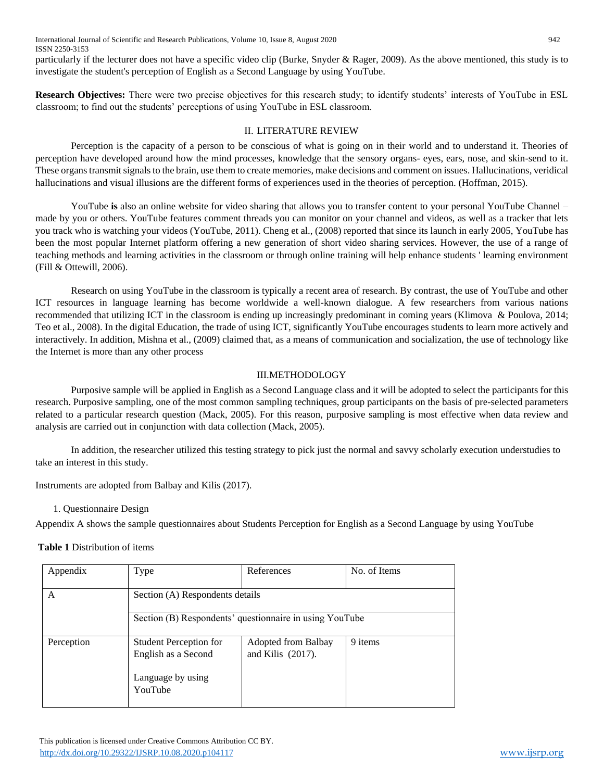International Journal of Scientific and Research Publications, Volume 10, Issue 8, August 2020 942 ISSN 2250-3153

particularly if the lecturer does not have a specific video clip (Burke, Snyder & Rager, 2009). As the above mentioned, this study is to investigate the student's perception of English as a Second Language by using YouTube.

**Research Objectives:** There were two precise objectives for this research study; to identify students' interests of YouTube in ESL classroom; to find out the students' perceptions of using YouTube in ESL classroom.

### II. LITERATURE REVIEW

Perception is the capacity of a person to be conscious of what is going on in their world and to understand it. Theories of perception have developed around how the mind processes, knowledge that the sensory organs- eyes, ears, nose, and skin-send to it. These organs transmit signals to the brain, use them to create memories, make decisions and comment on issues. Hallucinations, veridical hallucinations and visual illusions are the different forms of experiences used in the theories of perception. (Hoffman, 2015).

YouTube **is** also an online website for video sharing that allows you to transfer content to your personal YouTube Channel – made by you or others. YouTube features comment threads you can monitor on your channel and videos, as well as a tracker that lets you track who is watching your videos (YouTube, 2011). Cheng et al., (2008) reported that since its launch in early 2005, YouTube has been the most popular Internet platform offering a new generation of short video sharing services. However, the use of a range of teaching methods and learning activities in the classroom or through online training will help enhance students ' learning environment (Fill & Ottewill, 2006).

Research on using YouTube in the classroom is typically a recent area of research. By contrast, the use of YouTube and other ICT resources in language learning has become worldwide a well-known dialogue. A few researchers from various nations recommended that utilizing ICT in the classroom is ending up increasingly predominant in coming years (Klimova & Poulova, 2014; Teo et al., 2008). In the digital Education, the trade of using ICT, significantly YouTube encourages students to learn more actively and interactively. In addition, Mishna et al., (2009) claimed that, as a means of communication and socialization, the use of technology like the Internet is more than any other process

## III.METHODOLOGY

Purposive sample will be applied in English as a Second Language class and it will be adopted to select the participants for this research. Purposive sampling, one of the most common sampling techniques, group participants on the basis of pre-selected parameters related to a particular research question (Mack, 2005). For this reason, purposive sampling is most effective when data review and analysis are carried out in conjunction with data collection (Mack, 2005).

In addition, the researcher utilized this testing strategy to pick just the normal and savvy scholarly execution understudies to take an interest in this study.

Instruments are adopted from Balbay and Kilis (2017).

1. Questionnaire Design

Appendix A shows the sample questionnaires about Students Perception for English as a Second Language by using YouTube

**Table 1** Distribution of items

| Appendix   | Type                                                                      | References                               | No. of Items |  |
|------------|---------------------------------------------------------------------------|------------------------------------------|--------------|--|
| A          |                                                                           | Section (A) Respondents details          |              |  |
|            | Section (B) Respondents' questionnaire in using YouTube                   |                                          |              |  |
| Perception | <b>Student Perception for</b><br>English as a Second<br>Language by using | Adopted from Balbay<br>and Kilis (2017). | 9 items      |  |
|            | YouTube                                                                   |                                          |              |  |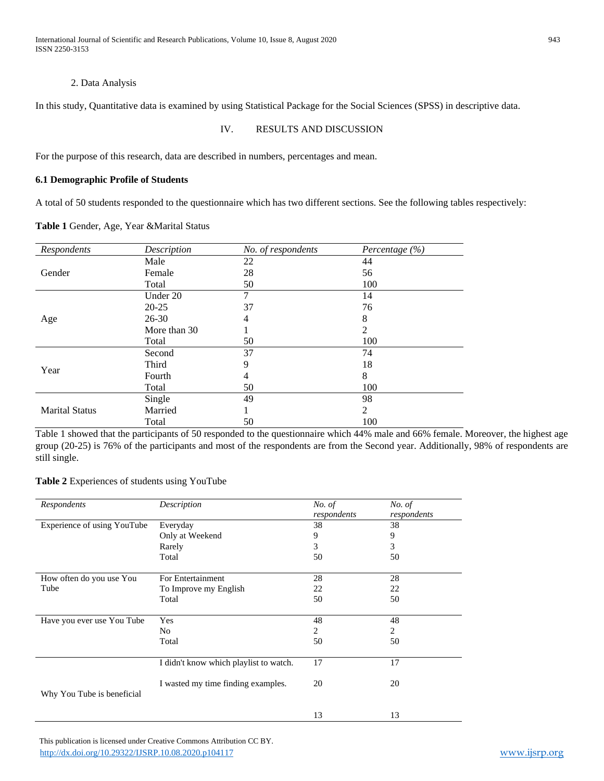International Journal of Scientific and Research Publications, Volume 10, Issue 8, August 2020 943 ISSN 2250-3153

#### 2. Data Analysis

In this study, Quantitative data is examined by using Statistical Package for the Social Sciences (SPSS) in descriptive data.

## IV. RESULTS AND DISCUSSION

For the purpose of this research, data are described in numbers, percentages and mean.

#### **6.1 Demographic Profile of Students**

A total of 50 students responded to the questionnaire which has two different sections. See the following tables respectively:

**Table 1** Gender, Age, Year &Marital Status

| Respondents           | Description  | No. of respondents | Percentage $(\% )$ |
|-----------------------|--------------|--------------------|--------------------|
|                       | Male         | 22                 | 44                 |
| Gender                | Female       | 28                 | 56                 |
|                       | Total        | 50                 | 100                |
|                       | Under 20     | 7                  | 14                 |
|                       | $20 - 25$    | 37                 | 76                 |
| Age                   | 26-30        | 4                  | 8                  |
|                       | More than 30 | 1                  | 2                  |
|                       | Total        | 50                 | 100                |
|                       | Second       | 37                 | 74                 |
| Year                  | Third        | 9                  | 18                 |
|                       | Fourth       | 4                  | 8                  |
|                       | Total        | 50                 | 100                |
|                       | Single       | 49                 | 98                 |
| <b>Marital Status</b> | Married      |                    | 2                  |
|                       | Total        | 50                 | 100                |

Table 1 showed that the participants of 50 responded to the questionnaire which 44% male and 66% female. Moreover, the highest age group (20-25) is 76% of the participants and most of the respondents are from the Second year. Additionally, 98% of respondents are still single.

#### **Table 2** Experiences of students using YouTube

| Respondents                 | Description                            | No. of<br>respondents | No. of<br>respondents |
|-----------------------------|----------------------------------------|-----------------------|-----------------------|
| Experience of using YouTube | Everyday                               | 38                    | 38                    |
|                             | Only at Weekend                        | 9                     | 9                     |
|                             | Rarely                                 | 3                     | 3                     |
|                             | Total                                  | 50                    | 50                    |
| How often do you use You    | For Entertainment                      | 28                    | 28                    |
| Tube                        | To Improve my English                  | 22                    | 22                    |
|                             | Total                                  | 50                    | 50                    |
| Have you ever use You Tube  | Yes                                    | 48                    | 48                    |
|                             | No                                     | 2                     | 2                     |
|                             | Total                                  | 50                    | 50                    |
|                             | I didn't know which playlist to watch. | 17                    | 17                    |
| Why You Tube is beneficial  | I wasted my time finding examples.     | 20                    | 20                    |
|                             |                                        |                       |                       |
|                             |                                        | 13                    | 13                    |

 This publication is licensed under Creative Commons Attribution CC BY. <http://dx.doi.org/10.29322/IJSRP.10.08.2020.p104117> [www.ijsrp.org](http://ijsrp.org/)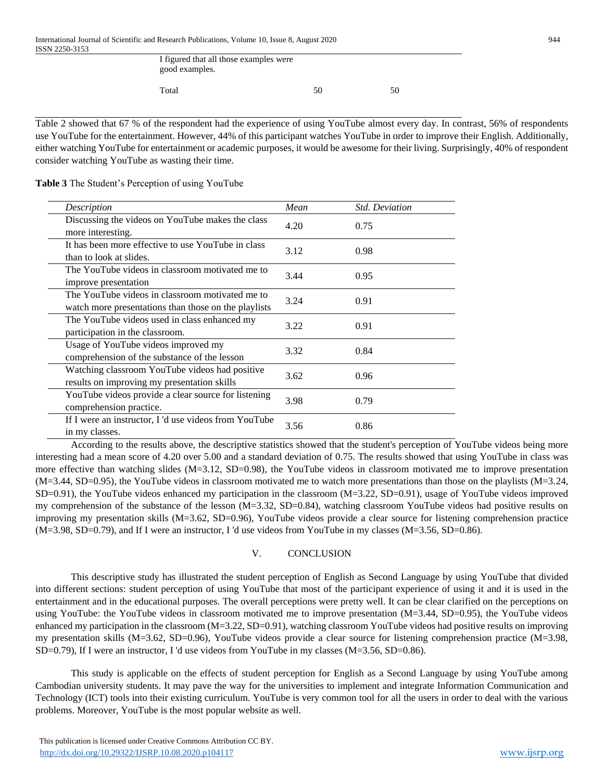| I figured that all those examples were<br>good examples. |    |    |
|----------------------------------------------------------|----|----|
| Total                                                    | 50 | 50 |

Table 2 showed that 67 % of the respondent had the experience of using YouTube almost every day. In contrast, 56% of respondents use YouTube for the entertainment. However, 44% of this participant watches YouTube in order to improve their English. Additionally, either watching YouTube for entertainment or academic purposes, it would be awesome for their living. Surprisingly, 40% of respondent consider watching YouTube as wasting their time.

**Table 3** The Student's Perception of using YouTube

| Description                                                                                             | Mean | <b>Std. Deviation</b> |
|---------------------------------------------------------------------------------------------------------|------|-----------------------|
| Discussing the videos on YouTube makes the class<br>more interesting.                                   | 4.20 | 0.75                  |
| It has been more effective to use YouTube in class<br>than to look at slides.                           | 3.12 | 0.98                  |
| The YouTube videos in classroom motivated me to<br>improve presentation                                 | 3.44 | 0.95                  |
| The YouTube videos in classroom motivated me to<br>watch more presentations than those on the playlists | 3.24 | 0.91                  |
| The YouTube videos used in class enhanced my<br>participation in the classroom.                         | 3.22 | 0.91                  |
| Usage of YouTube videos improved my<br>comprehension of the substance of the lesson                     | 3.32 | 0.84                  |
| Watching classroom YouTube videos had positive<br>results on improving my presentation skills           | 3.62 | 0.96                  |
| YouTube videos provide a clear source for listening<br>comprehension practice.                          | 3.98 | 0.79                  |
| If I were an instructor, I'd use videos from YouTube<br>in my classes.                                  | 3.56 | 0.86                  |

According to the results above, the descriptive statistics showed that the student's perception of YouTube videos being more interesting had a mean score of 4.20 over 5.00 and a standard deviation of 0.75. The results showed that using YouTube in class was more effective than watching slides (M=3.12, SD=0.98), the YouTube videos in classroom motivated me to improve presentation (M=3.44, SD=0.95), the YouTube videos in classroom motivated me to watch more presentations than those on the playlists (M=3.24, SD=0.91), the YouTube videos enhanced my participation in the classroom (M=3.22, SD=0.91), usage of YouTube videos improved my comprehension of the substance of the lesson (M=3.32, SD=0.84), watching classroom YouTube videos had positive results on improving my presentation skills (M=3.62, SD=0.96), YouTube videos provide a clear source for listening comprehension practice (M=3.98, SD=0.79), and If I were an instructor, I 'd use videos from YouTube in my classes (M=3.56, SD=0.86).

# V. CONCLUSION

This descriptive study has illustrated the student perception of English as Second Language by using YouTube that divided into different sections: student perception of using YouTube that most of the participant experience of using it and it is used in the entertainment and in the educational purposes. The overall perceptions were pretty well. It can be clear clarified on the perceptions on using YouTube: the YouTube videos in classroom motivated me to improve presentation (M=3.44, SD=0.95), the YouTube videos enhanced my participation in the classroom (M=3.22, SD=0.91), watching classroom YouTube videos had positive results on improving my presentation skills (M=3.62, SD=0.96), YouTube videos provide a clear source for listening comprehension practice (M=3.98, SD=0.79), If I were an instructor, I 'd use videos from YouTube in my classes (M=3.56, SD=0.86).

This study is applicable on the effects of student perception for English as a Second Language by using YouTube among Cambodian university students. It may pave the way for the universities to implement and integrate Information Communication and Technology (ICT) tools into their existing curriculum. YouTube is very common tool for all the users in order to deal with the various problems. Moreover, YouTube is the most popular website as well.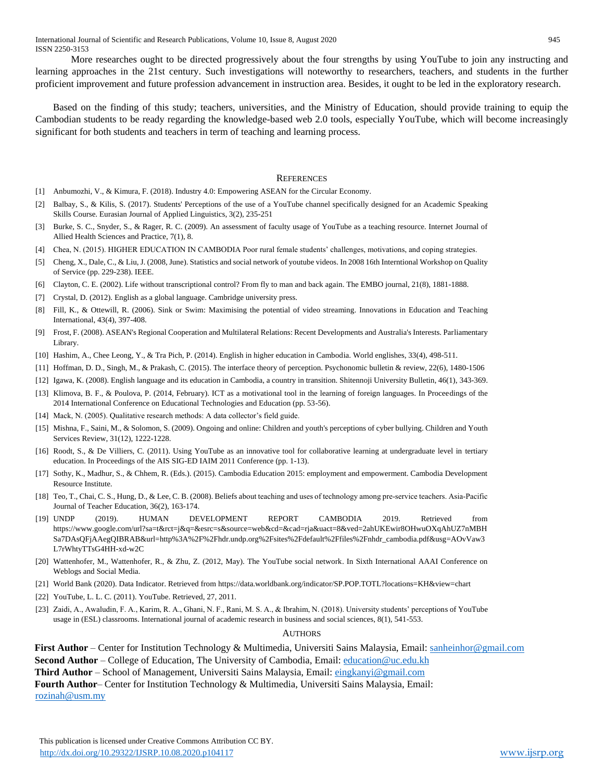More researches ought to be directed progressively about the four strengths by using YouTube to join any instructing and learning approaches in the 21st century. Such investigations will noteworthy to researchers, teachers, and students in the further proficient improvement and future profession advancement in instruction area. Besides, it ought to be led in the exploratory research.

Based on the finding of this study; teachers, universities, and the Ministry of Education, should provide training to equip the Cambodian students to be ready regarding the knowledge-based web 2.0 tools, especially YouTube, which will become increasingly significant for both students and teachers in term of teaching and learning process.

#### **REFERENCES**

- [1] Anbumozhi, V., & Kimura, F. (2018). Industry 4.0: Empowering ASEAN for the Circular Economy.
- [2] Balbay, S., & Kilis, S. (2017). Students' Perceptions of the use of a YouTube channel specifically designed for an Academic Speaking Skills Course. Eurasian Journal of Applied Linguistics, 3(2), 235-251
- [3] Burke, S. C., Snyder, S., & Rager, R. C. (2009). An assessment of faculty usage of YouTube as a teaching resource. Internet Journal of Allied Health Sciences and Practice, 7(1), 8.
- [4] Chea, N. (2015). HIGHER EDUCATION IN CAMBODIA Poor rural female students' challenges, motivations, and coping strategies.
- [5] Cheng, X., Dale, C., & Liu, J. (2008, June). Statistics and social network of youtube videos. In 2008 16th Interntional Workshop on Quality of Service (pp. 229-238). IEEE.
- [6] Clayton, C. E. (2002). Life without transcriptional control? From fly to man and back again. The EMBO journal, 21(8), 1881-1888.
- [7] Crystal, D. (2012). English as a global language. Cambridge university press.
- [8] Fill, K., & Ottewill, R. (2006). Sink or Swim: Maximising the potential of video streaming. Innovations in Education and Teaching International, 43(4), 397-408.
- [9] Frost, F. (2008). ASEAN's Regional Cooperation and Multilateral Relations: Recent Developments and Australia's Interests. Parliamentary Library.
- [10] Hashim, A., Chee Leong, Y., & Tra Pich, P. (2014). English in higher education in Cambodia. World englishes, 33(4), 498-511.
- [11] Hoffman, D. D., Singh, M., & Prakash, C. (2015). The interface theory of perception. Psychonomic bulletin & review, 22(6), 1480-1506
- [12] Igawa, K. (2008). English language and its education in Cambodia, a country in transition. Shitennoji University Bulletin, 46(1), 343-369.
- [13] Klimova, B. F., & Poulova, P. (2014, February). ICT as a motivational tool in the learning of foreign languages. In Proceedings of the 2014 International Conference on Educational Technologies and Education (pp. 53-56).
- [14] Mack, N. (2005). Qualitative research methods: A data collector's field guide.
- [15] Mishna, F., Saini, M., & Solomon, S. (2009). Ongoing and online: Children and youth's perceptions of cyber bullying. Children and Youth Services Review, 31(12), 1222-1228.
- [16] Roodt, S., & De Villiers, C. (2011). Using YouTube as an innovative tool for collaborative learning at undergraduate level in tertiary education. In Proceedings of the AIS SIG-ED IAIM 2011 Conference (pp. 1-13).
- [17] Sothy, K., Madhur, S., & Chhem, R. (Eds.). (2015). Cambodia Education 2015: employment and empowerment. Cambodia Development Resource Institute.
- [18] Teo, T., Chai, C. S., Hung, D., & Lee, C. B. (2008). Beliefs about teaching and uses of technology among pre‐service teachers. Asia‐Pacific Journal of Teacher Education, 36(2), 163-174.
- [19] UNDP (2019). HUMAN DEVELOPMENT REPORT CAMBODIA 2019. Retrieved from https://www.google.com/url?sa=t&rct=j&q=&esrc=s&source=web&cd=&cad=rja&uact=8&ved=2ahUKEwir8OHwuOXqAhUZ7nMBH Sa7DAsQFjAAegQIBRAB&url=http%3A%2F%2Fhdr.undp.org%2Fsites%2Fdefault%2Ffiles%2Fnhdr\_cambodia.pdf&usg=AOvVaw3 L7rWhtyTTsG4HH-xd-w2C
- [20] Wattenhofer, M., Wattenhofer, R., & Zhu, Z. (2012, May). The YouTube social network. In Sixth International AAAI Conference on Weblogs and Social Media.
- [21] World Bank (2020). Data Indicator. Retrieved fro[m https://data.worldbank.org/indicator/SP.POP.TOTL?locations=KH&view=chart](https://data.worldbank.org/indicator/SP.POP.TOTL?locations=KH&view=chart)
- [22] YouTube, L. L. C. (2011). YouTube. Retrieved, 27, 2011.
- [23] Zaidi, A., Awaludin, F. A., Karim, R. A., Ghani, N. F., Rani, M. S. A., & Ibrahim, N. (2018). University students' perceptions of YouTube usage in (ESL) classrooms. International journal of academic research in business and social sciences, 8(1), 541-553.

#### AUTHORS

**First Author** – Center for Institution Technology & Multimedia, Universiti Sains Malaysia, Email: [sanheinhor@gmail.com](mailto:sanheinhor@gmail.com) **Second Author** – College of Education, The University of Cambodia, Email: [education@uc.edu.kh](mailto:education@uc.edu.kh) **Third Author** – School of Management, Universiti Sains Malaysia, Email[: eingkanyi@gmail.com](mailto:eingkanyi@gmail.com)

**Fourth Author**– Center for Institution Technology & Multimedia, Universiti Sains Malaysia, Email: [rozinah@usm.my](mailto:rozinah@usm.my)